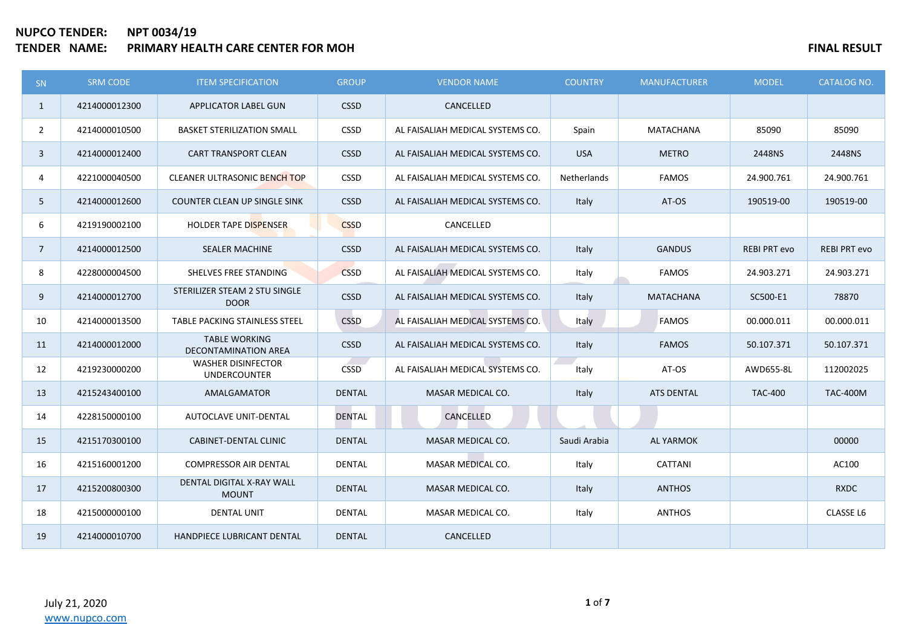# **NUPCO TENDER: NPT 0034/19 TENDER IN A SEXULT FOR SEXULT SEXULT SEXULT SEXULT SEXULT SEXULT SEXULT SEXULT SEXULT SEXULT**

| SN <sub>1</sub> | <b>SRM CODE</b> | <b>ITEM SPECIFICATION</b>                        | <b>GROUP</b>  | <b>VENDOR NAME</b>               | <b>COUNTRY</b> | <b>MANUFACTURER</b> | <b>MODEL</b>        | <b>CATALOG NO.</b>  |
|-----------------|-----------------|--------------------------------------------------|---------------|----------------------------------|----------------|---------------------|---------------------|---------------------|
| $\mathbf{1}$    | 4214000012300   | APPLICATOR LABEL GUN                             | <b>CSSD</b>   | CANCELLED                        |                |                     |                     |                     |
| $\overline{2}$  | 4214000010500   | <b>BASKET STERILIZATION SMALL</b>                | <b>CSSD</b>   | AL FAISALIAH MEDICAL SYSTEMS CO. | Spain          | MATACHANA           | 85090               | 85090               |
| $\mathbf{3}$    | 4214000012400   | CART TRANSPORT CLEAN                             | <b>CSSD</b>   | AL FAISALIAH MEDICAL SYSTEMS CO. | <b>USA</b>     | <b>METRO</b>        | 2448NS              | 2448NS              |
| 4               | 4221000040500   | <b>CLEANER ULTRASONIC BENCH TOP</b>              | <b>CSSD</b>   | AL FAISALIAH MEDICAL SYSTEMS CO. | Netherlands    | <b>FAMOS</b>        | 24.900.761          | 24.900.761          |
| 5               | 4214000012600   | COUNTER CLEAN UP SINGLE SINK                     | <b>CSSD</b>   | AL FAISALIAH MEDICAL SYSTEMS CO. | Italy          | AT-OS               | 190519-00           | 190519-00           |
| 6               | 4219190002100   | HOLDER TAPE DISPENSER                            | <b>CSSD</b>   | CANCELLED                        |                |                     |                     |                     |
| $7^{\circ}$     | 4214000012500   | <b>SEALER MACHINE</b>                            | <b>CSSD</b>   | AL FAISALIAH MEDICAL SYSTEMS CO. | Italy          | <b>GANDUS</b>       | <b>REBI PRT evo</b> | <b>REBI PRT evo</b> |
| 8               | 4228000004500   | SHELVES FREE STANDING                            | <b>CSSD</b>   | AL FAISALIAH MEDICAL SYSTEMS CO. | Italy          | <b>FAMOS</b>        | 24.903.271          | 24.903.271          |
| 9               | 4214000012700   | STERILIZER STEAM 2 STU SINGLE<br><b>DOOR</b>     | <b>CSSD</b>   | AL FAISALIAH MEDICAL SYSTEMS CO. | Italy          | <b>MATACHANA</b>    | SC500-E1            | 78870               |
| 10              | 4214000013500   | TABLE PACKING STAINLESS STEEL                    | <b>CSSD</b>   | AL FAISALIAH MEDICAL SYSTEMS CO. | Italy          | <b>FAMOS</b>        | 00.000.011          | 00.000.011          |
| 11              | 4214000012000   | <b>TABLE WORKING</b><br>DECONTAMINATION AREA     | <b>CSSD</b>   | AL FAISALIAH MEDICAL SYSTEMS CO. | Italy          | <b>FAMOS</b>        | 50.107.371          | 50.107.371          |
| 12              | 4219230000200   | <b>WASHER DISINFECTOR</b><br><b>UNDERCOUNTER</b> | <b>CSSD</b>   | AL FAISALIAH MEDICAL SYSTEMS CO. | Italy          | AT-OS               | AWD655-8L           | 112002025           |
| 13              | 4215243400100   | AMALGAMATOR                                      | <b>DENTAL</b> | <b>MASAR MEDICAL CO.</b>         | Italy          | <b>ATS DENTAL</b>   | <b>TAC-400</b>      | <b>TAC-400M</b>     |
| 14              | 4228150000100   | <b>AUTOCLAVE UNIT-DENTAL</b>                     | <b>DENTAL</b> | CANCELLED                        |                |                     |                     |                     |
| 15              | 4215170300100   | <b>CABINET-DENTAL CLINIC</b>                     | <b>DENTAL</b> | MASAR MEDICAL CO.                | Saudi Arabia   | <b>AL YARMOK</b>    |                     | 00000               |
| 16              | 4215160001200   | <b>COMPRESSOR AIR DENTAL</b>                     | <b>DENTAL</b> | <b>MASAR MEDICAL CO.</b>         | Italy          | CATTANI             |                     | AC100               |
| 17              | 4215200800300   | DENTAL DIGITAL X-RAY WALL<br><b>MOUNT</b>        | <b>DENTAL</b> | MASAR MEDICAL CO.                | Italy          | <b>ANTHOS</b>       |                     | <b>RXDC</b>         |
| 18              | 4215000000100   | <b>DENTAL UNIT</b>                               | <b>DENTAL</b> | MASAR MEDICAL CO.                | Italy          | <b>ANTHOS</b>       |                     | CLASSE L6           |
| 19              | 4214000010700   | HANDPIECE LUBRICANT DENTAL                       | <b>DENTAL</b> | CANCELLED                        |                |                     |                     |                     |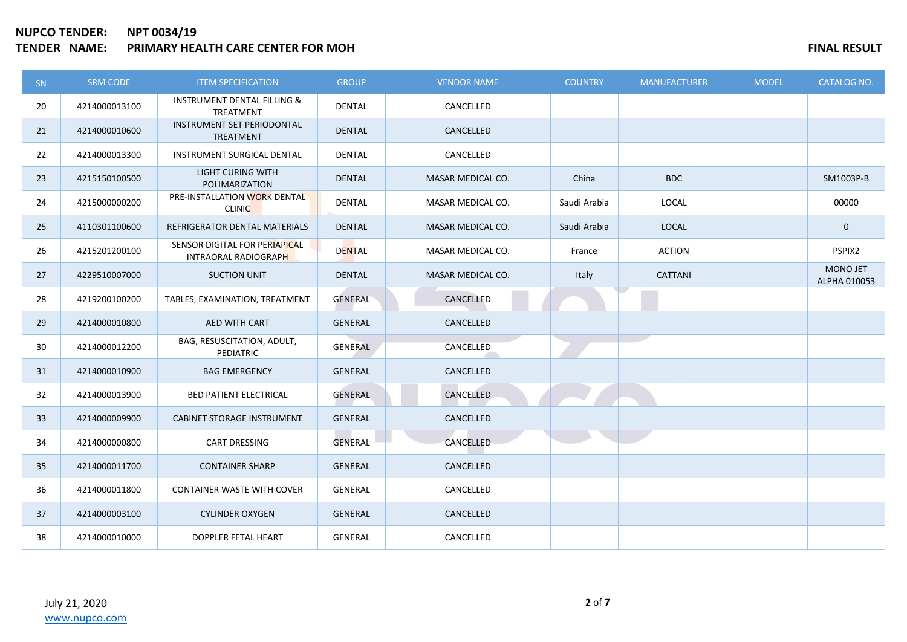## **NUPCO TENDER: NPT 0034/19 TENDER IN A SEXUAL TERM OF STATE AND SEXUAL TERM OF STATE IN A SEXUAL TERM OF STATE IN A SESULT**

| SN | <b>SRM CODE</b> | <b>ITEM SPECIFICATION</b>                                  | <b>GROUP</b>   | <b>VENDOR NAME</b>       | <b>COUNTRY</b> | <b>MANUFACTURER</b> | <b>MODEL</b> | <b>CATALOG NO.</b>              |
|----|-----------------|------------------------------------------------------------|----------------|--------------------------|----------------|---------------------|--------------|---------------------------------|
| 20 | 4214000013100   | <b>INSTRUMENT DENTAL FILLING &amp;</b><br><b>TREATMENT</b> | <b>DENTAL</b>  | CANCELLED                |                |                     |              |                                 |
| 21 | 4214000010600   | INSTRUMENT SET PERIODONTAL<br>TREATMENT                    | <b>DENTAL</b>  | CANCELLED                |                |                     |              |                                 |
| 22 | 4214000013300   | INSTRUMENT SURGICAL DENTAL                                 | <b>DENTAL</b>  | CANCELLED                |                |                     |              |                                 |
| 23 | 4215150100500   | <b>LIGHT CURING WITH</b><br>POLIMARIZATION                 | <b>DENTAL</b>  | MASAR MEDICAL CO.        | China          | <b>BDC</b>          |              | SM1003P-B                       |
| 24 | 4215000000200   | PRE-INSTALLATION WORK DENTAL<br><b>CLINIC</b>              | DENTAL         | MASAR MEDICAL CO.        | Saudi Arabia   | LOCAL               |              | 00000                           |
| 25 | 4110301100600   | REFRIGERATOR DENTAL MATERIALS                              | <b>DENTAL</b>  | <b>MASAR MEDICAL CO.</b> | Saudi Arabia   | <b>LOCAL</b>        |              | $\mathbf 0$                     |
| 26 | 4215201200100   | SENSOR DIGITAL FOR PERIAPICAL<br>INTRAORAL RADIOGRAPH      | <b>DENTAL</b>  | MASAR MEDICAL CO.        | France         | <b>ACTION</b>       |              | PSPIX2                          |
| 27 | 4229510007000   | <b>SUCTION UNIT</b>                                        | <b>DENTAL</b>  | MASAR MEDICAL CO.        | Italy          | <b>CATTANI</b>      |              | <b>MONO JET</b><br>ALPHA 010053 |
| 28 | 4219200100200   | TABLES, EXAMINATION, TREATMENT                             | GENERAL        | CANCELLED                |                |                     |              |                                 |
| 29 | 4214000010800   | AED WITH CART                                              | GENERAL        | CANCELLED                |                |                     |              |                                 |
| 30 | 4214000012200   | BAG, RESUSCITATION, ADULT,<br>PEDIATRIC                    | GENERAL        | CANCELLED                |                |                     |              |                                 |
| 31 | 4214000010900   | <b>BAG EMERGENCY</b>                                       | <b>GENERAL</b> | CANCELLED                |                |                     |              |                                 |
| 32 | 4214000013900   | <b>BED PATIENT ELECTRICAL</b>                              | <b>GENERAL</b> | <b>CANCELLED</b>         |                |                     |              |                                 |
| 33 | 4214000009900   | <b>CABINET STORAGE INSTRUMENT</b>                          | GENERAL        | CANCELLED                |                |                     |              |                                 |
| 34 | 4214000000800   | <b>CART DRESSING</b>                                       | GENERAL        | CANCELLED                |                |                     |              |                                 |
| 35 | 4214000011700   | <b>CONTAINER SHARP</b>                                     | GENERAL        | CANCELLED                |                |                     |              |                                 |
| 36 | 4214000011800   | <b>CONTAINER WASTE WITH COVER</b>                          | GENERAL        | CANCELLED                |                |                     |              |                                 |
| 37 | 4214000003100   | <b>CYLINDER OXYGEN</b>                                     | GENERAL        | CANCELLED                |                |                     |              |                                 |
| 38 | 4214000010000   | DOPPLER FETAL HEART                                        | GENERAL        | CANCELLED                |                |                     |              |                                 |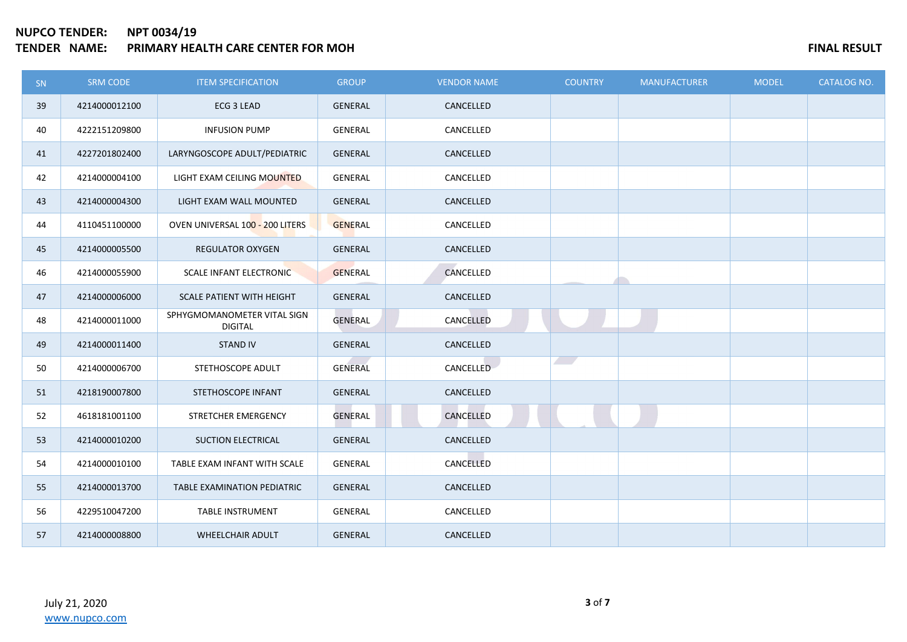# **NUPCO TENDER: NPT 0034/19 TENDER NAMES AND FINAL RESULT PRIMARY HEALTH CARE CENTER FOR MOH**

| <b>SN</b> | SRM CODE      | <b>ITEM SPECIFICATION</b>                     | <b>GROUP</b>   | <b>VENDOR NAME</b> | <b>COUNTRY</b>           | <b>MANUFACTURER</b> | <b>MODEL</b> | <b>CATALOG NO.</b> |
|-----------|---------------|-----------------------------------------------|----------------|--------------------|--------------------------|---------------------|--------------|--------------------|
| 39        | 4214000012100 | ECG 3 LEAD                                    | <b>GENERAL</b> | CANCELLED          |                          |                     |              |                    |
| 40        | 4222151209800 | <b>INFUSION PUMP</b>                          | GENERAL        | CANCELLED          |                          |                     |              |                    |
| 41        | 4227201802400 | LARYNGOSCOPE ADULT/PEDIATRIC                  | GENERAL        | CANCELLED          |                          |                     |              |                    |
| 42        | 4214000004100 | LIGHT EXAM CEILING MOUNTED                    | GENERAL        | CANCELLED          |                          |                     |              |                    |
| 43        | 4214000004300 | LIGHT EXAM WALL MOUNTED                       | <b>GENERAL</b> | CANCELLED          |                          |                     |              |                    |
| 44        | 4110451100000 | OVEN UNIVERSAL 100 - 200 LITERS               | <b>GENERAL</b> | CANCELLED          |                          |                     |              |                    |
| 45        | 4214000005500 | <b>REGULATOR OXYGEN</b>                       | GENERAL        | CANCELLED          |                          |                     |              |                    |
| 46        | 4214000055900 | <b>SCALE INFANT ELECTRONIC</b>                | <b>GENERAL</b> | CANCELLED          |                          |                     |              |                    |
| 47        | 4214000006000 | <b>SCALE PATIENT WITH HEIGHT</b>              | <b>GENERAL</b> | CANCELLED          |                          |                     |              |                    |
| 48        | 4214000011000 | SPHYGMOMANOMETER VITAL SIGN<br><b>DIGITAL</b> | GENERAL        | CANCELLED          |                          |                     |              |                    |
| 49        | 4214000011400 | <b>STAND IV</b>                               | <b>GENERAL</b> | CANCELLED          |                          |                     |              |                    |
| 50        | 4214000006700 | STETHOSCOPE ADULT                             | <b>GENERAL</b> | <b>CANCELLED</b>   | $\overline{\phantom{a}}$ |                     |              |                    |
| 51        | 4218190007800 | STETHOSCOPE INFANT                            | <b>GENERAL</b> | CANCELLED          |                          |                     |              |                    |
| 52        | 4618181001100 | STRETCHER EMERGENCY                           | <b>GENERAL</b> | CANCELLED          |                          |                     |              |                    |
| 53        | 4214000010200 | <b>SUCTION ELECTRICAL</b>                     | <b>GENERAL</b> | CANCELLED          |                          |                     |              |                    |
| 54        | 4214000010100 | TABLE EXAM INFANT WITH SCALE                  | GENERAL        | CANCELLED          |                          |                     |              |                    |
| 55        | 4214000013700 | TABLE EXAMINATION PEDIATRIC                   | <b>GENERAL</b> | CANCELLED          |                          |                     |              |                    |
| 56        | 4229510047200 | <b>TABLE INSTRUMENT</b>                       | <b>GENERAL</b> | CANCELLED          |                          |                     |              |                    |
| 57        | 4214000008800 | WHEELCHAIR ADULT                              | <b>GENERAL</b> | CANCELLED          |                          |                     |              |                    |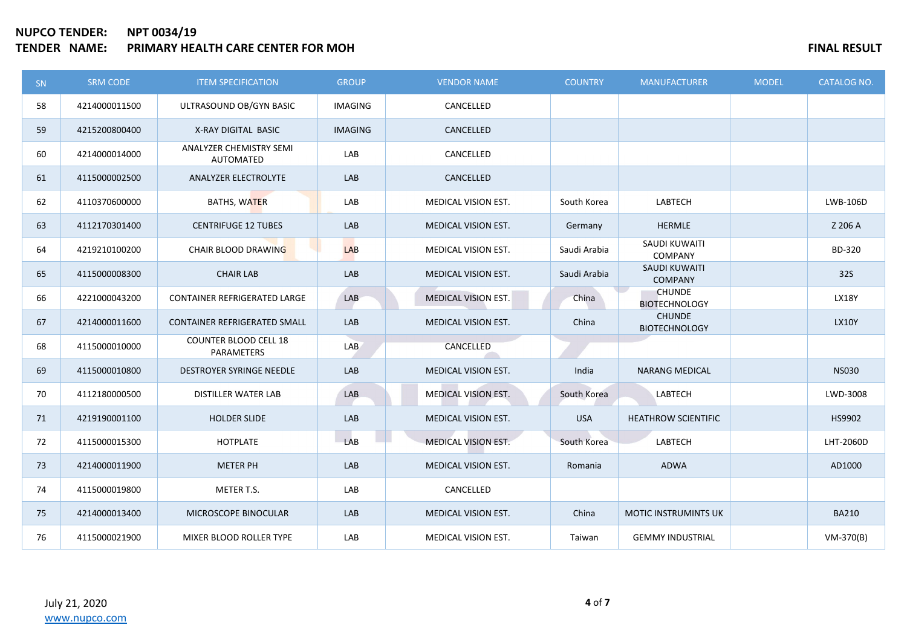## **NUPCO TENDER: NPT 0034/19 TENDER NAMES AND RESULT ASSESSED FINAL RESULT**

| SN | <b>SRM CODE</b> | <b>ITEM SPECIFICATION</b>                  | <b>GROUP</b>   | <b>VENDOR NAME</b>         | <b>COUNTRY</b> | <b>MANUFACTURER</b>                   | <b>MODEL</b> | <b>CATALOG NO.</b> |
|----|-----------------|--------------------------------------------|----------------|----------------------------|----------------|---------------------------------------|--------------|--------------------|
| 58 | 4214000011500   | ULTRASOUND OB/GYN BASIC                    | <b>IMAGING</b> | CANCELLED                  |                |                                       |              |                    |
| 59 | 4215200800400   | X-RAY DIGITAL BASIC                        | <b>IMAGING</b> | CANCELLED                  |                |                                       |              |                    |
| 60 | 4214000014000   | ANALYZER CHEMISTRY SEMI<br>AUTOMATED       | LAB            | CANCELLED                  |                |                                       |              |                    |
| 61 | 4115000002500   | <b>ANALYZER ELECTROLYTE</b>                | LAB            | CANCELLED                  |                |                                       |              |                    |
| 62 | 4110370600000   | BATHS, WATER                               | LAB            | MEDICAL VISION EST.        | South Korea    | LABTECH                               |              | LWB-106D           |
| 63 | 4112170301400   | <b>CENTRIFUGE 12 TUBES</b>                 | LAB            | MEDICAL VISION EST.        | Germany        | <b>HERMLE</b>                         |              | Z 206 A            |
| 64 | 4219210100200   | CHAIR BLOOD DRAWING                        | <b>LAB</b>     | MEDICAL VISION EST.        | Saudi Arabia   | SAUDI KUWAITI<br>COMPANY              |              | BD-320             |
| 65 | 4115000008300   | <b>CHAIR LAB</b>                           | LAB            | <b>MEDICAL VISION EST.</b> | Saudi Arabia   | SAUDI KUWAITI<br><b>COMPANY</b>       |              | 32S                |
| 66 | 4221000043200   | CONTAINER REFRIGERATED LARGE               | LAB            | MEDICAL VISION EST.        | China          | <b>CHUNDE</b><br><b>BIOTECHNOLOGY</b> |              | <b>LX18Y</b>       |
| 67 | 4214000011600   | CONTAINER REFRIGERATED SMALL               | LAB            | MEDICAL VISION EST.        | China          | <b>CHUNDE</b><br><b>BIOTECHNOLOGY</b> |              | <b>LX10Y</b>       |
| 68 | 4115000010000   | <b>COUNTER BLOOD CELL 18</b><br>PARAMETERS | LAB            | CANCELLED                  |                |                                       |              |                    |
| 69 | 4115000010800   | DESTROYER SYRINGE NEEDLE                   | LAB            | MEDICAL VISION EST.        | India          | <b>NARANG MEDICAL</b>                 |              | <b>NS030</b>       |
| 70 | 4112180000500   | <b>DISTILLER WATER LAB</b>                 | LAB            | MEDICAL VISION EST.        | South Korea    | LABTECH                               |              | LWD-3008           |
| 71 | 4219190001100   | <b>HOLDER SLIDE</b>                        | LAB            | MEDICAL VISION EST.        | <b>USA</b>     | <b>HEATHROW SCIENTIFIC</b>            |              | HS9902             |
| 72 | 4115000015300   | HOTPLATE                                   | LAB            | MEDICAL VISION EST.        | South Korea    | LABTECH                               |              | LHT-2060D          |
| 73 | 4214000011900   | <b>METER PH</b>                            | LAB            | MEDICAL VISION EST.        | Romania        | ADWA                                  |              | AD1000             |
| 74 | 4115000019800   | METER T.S.                                 | LAB            | CANCELLED                  |                |                                       |              |                    |
| 75 | 4214000013400   | MICROSCOPE BINOCULAR                       | LAB            | <b>MEDICAL VISION EST.</b> | China          | <b>MOTIC INSTRUMINTS UK</b>           |              | <b>BA210</b>       |
| 76 | 4115000021900   | MIXER BLOOD ROLLER TYPE                    | LAB            | MEDICAL VISION EST.        | Taiwan         | <b>GEMMY INDUSTRIAL</b>               |              | VM-370(B)          |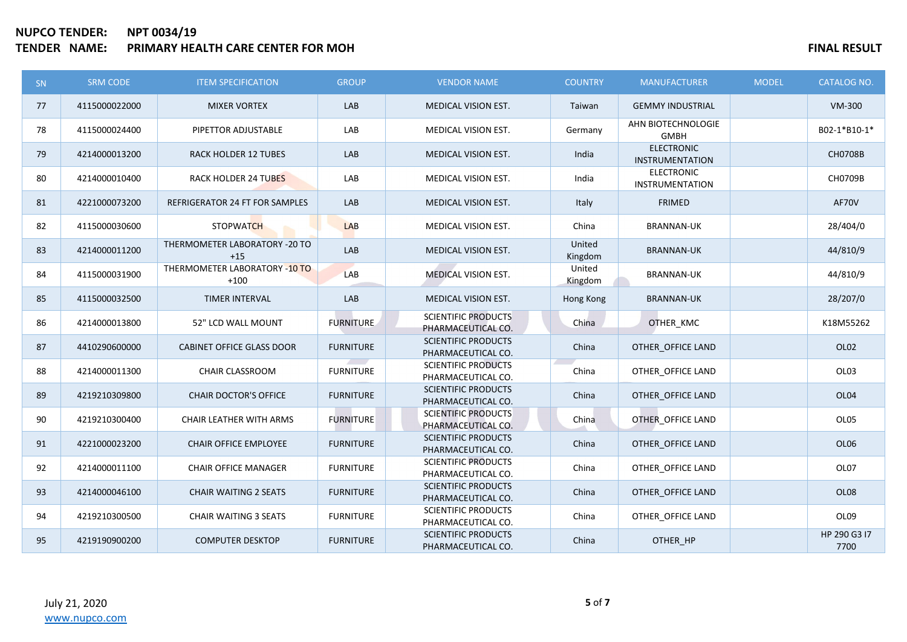## **NUPCO TENDER: NPT 0034/19 TENDER IN A PRIMARY HEALTH CARE CENTER FOR MOH FINAL RESULT**

| <b>SN</b> | <b>SRM CODE</b> | <b>ITEM SPECIFICATION</b>               | <b>GROUP</b>     | <b>VENDOR NAME</b>                               | <b>COUNTRY</b>    | <b>MANUFACTURER</b>                         | <b>MODEL</b> | <b>CATALOG NO.</b>   |
|-----------|-----------------|-----------------------------------------|------------------|--------------------------------------------------|-------------------|---------------------------------------------|--------------|----------------------|
| 77        | 4115000022000   | <b>MIXER VORTEX</b>                     | LAB              | MEDICAL VISION EST.                              | Taiwan            | <b>GEMMY INDUSTRIAL</b>                     |              | <b>VM-300</b>        |
| 78        | 4115000024400   | PIPETTOR ADJUSTABLE                     | LAB              | MEDICAL VISION EST.                              | Germany           | AHN BIOTECHNOLOGIE<br><b>GMBH</b>           |              | B02-1*B10-1*         |
| 79        | 4214000013200   | <b>RACK HOLDER 12 TUBES</b>             | LAB              | MEDICAL VISION EST.                              | India             | <b>ELECTRONIC</b><br><b>INSTRUMENTATION</b> |              | CH0708B              |
| 80        | 4214000010400   | <b>RACK HOLDER 24 TUBES</b>             | LAB              | MEDICAL VISION EST.                              | India             | <b>ELECTRONIC</b><br><b>INSTRUMENTATION</b> |              | CH0709B              |
| 81        | 4221000073200   | REFRIGERATOR 24 FT FOR SAMPLES          | LAB              | MEDICAL VISION EST.                              | Italy             | <b>FRIMED</b>                               |              | AF70V                |
| 82        | 4115000030600   | <b>STOPWATCH</b>                        | LAB              | MEDICAL VISION EST.                              | China             | <b>BRANNAN-UK</b>                           |              | 28/404/0             |
| 83        | 4214000011200   | THERMOMETER LABORATORY -20 TO<br>$+15$  | LAB              | MEDICAL VISION EST.                              | United<br>Kingdom | <b>BRANNAN-UK</b>                           |              | 44/810/9             |
| 84        | 4115000031900   | THERMOMETER LABORATORY -10 TO<br>$+100$ | <b>LAB</b>       | <b>MEDICAL VISION EST.</b>                       | United<br>Kingdom | <b>BRANNAN-UK</b>                           |              | 44/810/9             |
| 85        | 4115000032500   | TIMER INTERVAL                          | LAB              | MEDICAL VISION EST.                              | Hong Kong         | <b>BRANNAN-UK</b>                           |              | 28/207/0             |
| 86        | 4214000013800   | 52" LCD WALL MOUNT                      | <b>FURNITURE</b> | <b>SCIENTIFIC PRODUCTS</b><br>PHARMACEUTICAL CO. | China             | OTHER_KMC                                   |              | K18M55262            |
| 87        | 4410290600000   | <b>CABINET OFFICE GLASS DOOR</b>        | <b>FURNITURE</b> | <b>SCIENTIFIC PRODUCTS</b><br>PHARMACEUTICAL CO. | China             | OTHER OFFICE LAND                           |              | OL <sub>02</sub>     |
| 88        | 4214000011300   | <b>CHAIR CLASSROOM</b>                  | <b>FURNITURE</b> | <b>SCIENTIFIC PRODUCTS</b><br>PHARMACEUTICAL CO. | China             | OTHER OFFICE LAND                           |              | OL03                 |
| 89        | 4219210309800   | <b>CHAIR DOCTOR'S OFFICE</b>            | <b>FURNITURE</b> | <b>SCIENTIFIC PRODUCTS</b><br>PHARMACEUTICAL CO. | China             | OTHER OFFICE LAND                           |              | OL04                 |
| 90        | 4219210300400   | <b>CHAIR LEATHER WITH ARMS</b>          | <b>FURNITURE</b> | <b>SCIENTIFIC PRODUCTS</b><br>PHARMACEUTICAL CO. | China             | OTHER OFFICE LAND                           |              | OL05                 |
| 91        | 4221000023200   | <b>CHAIR OFFICE EMPLOYEE</b>            | <b>FURNITURE</b> | <b>SCIENTIFIC PRODUCTS</b><br>PHARMACEUTICAL CO. | China             | OTHER OFFICE LAND                           |              | OL06                 |
| 92        | 4214000011100   | <b>CHAIR OFFICE MANAGER</b>             | <b>FURNITURE</b> | <b>SCIENTIFIC PRODUCTS</b><br>PHARMACEUTICAL CO. | China             | OTHER OFFICE LAND                           |              | OL07                 |
| 93        | 4214000046100   | <b>CHAIR WAITING 2 SEATS</b>            | <b>FURNITURE</b> | <b>SCIENTIFIC PRODUCTS</b><br>PHARMACEUTICAL CO. | China             | OTHER OFFICE LAND                           |              | OL <sub>08</sub>     |
| 94        | 4219210300500   | <b>CHAIR WAITING 3 SEATS</b>            | <b>FURNITURE</b> | <b>SCIENTIFIC PRODUCTS</b><br>PHARMACEUTICAL CO. | China             | OTHER OFFICE LAND                           |              | OL09                 |
| 95        | 4219190900200   | <b>COMPUTER DESKTOP</b>                 | <b>FURNITURE</b> | <b>SCIENTIFIC PRODUCTS</b><br>PHARMACEUTICAL CO. | China             | OTHER_HP                                    |              | HP 290 G3 I7<br>7700 |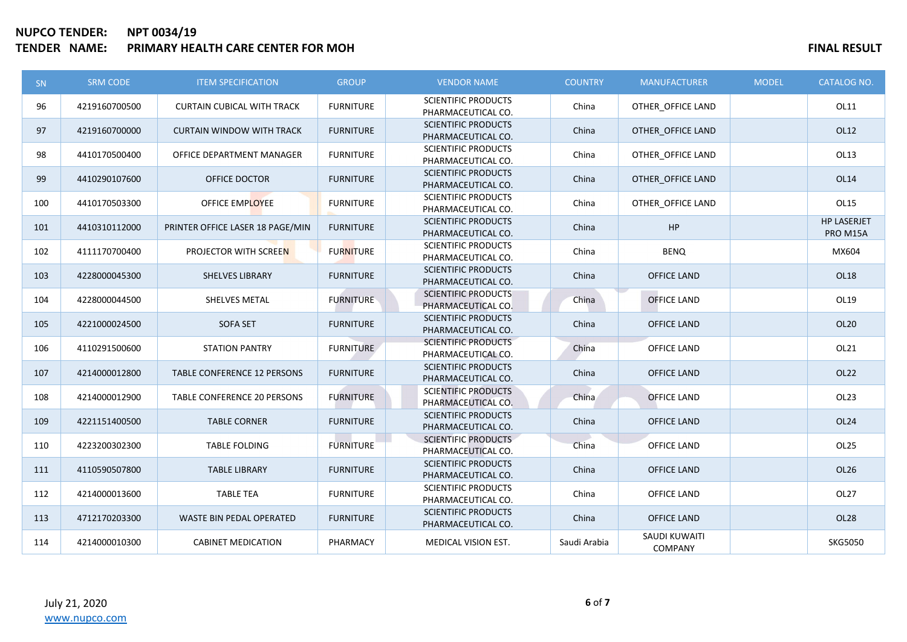# **NUPCO TENDER: NPT 0034/19 TENDER IN A SEXULT FOR SEXULT SEXULT SEXULT SEXULT SEXULT SEXULT SEXULT SEXULT SEXULT SEXULT**

| <b>SN</b> | <b>SRM CODE</b> | <b>ITEM SPECIFICATION</b>         | <b>GROUP</b>     | <b>VENDOR NAME</b>                               | <b>COUNTRY</b> | <b>MANUFACTURER</b>             | <b>MODEL</b> | <b>CATALOG NO.</b>             |
|-----------|-----------------|-----------------------------------|------------------|--------------------------------------------------|----------------|---------------------------------|--------------|--------------------------------|
| 96        | 4219160700500   | <b>CURTAIN CUBICAL WITH TRACK</b> | <b>FURNITURE</b> | <b>SCIENTIFIC PRODUCTS</b><br>PHARMACEUTICAL CO. | China          | OTHER_OFFICE LAND               |              | OL11                           |
| 97        | 4219160700000   | <b>CURTAIN WINDOW WITH TRACK</b>  | <b>FURNITURE</b> | <b>SCIENTIFIC PRODUCTS</b><br>PHARMACEUTICAL CO. | China          | OTHER_OFFICE LAND               |              | OL12                           |
| 98        | 4410170500400   | OFFICE DEPARTMENT MANAGER         | <b>FURNITURE</b> | <b>SCIENTIFIC PRODUCTS</b><br>PHARMACEUTICAL CO. | China          | OTHER OFFICE LAND               |              | OL13                           |
| 99        | 4410290107600   | OFFICE DOCTOR                     | <b>FURNITURE</b> | <b>SCIENTIFIC PRODUCTS</b><br>PHARMACEUTICAL CO. | China          | OTHER OFFICE LAND               |              | OL14                           |
| 100       | 4410170503300   | OFFICE EMPLOYEE                   | <b>FURNITURE</b> | <b>SCIENTIFIC PRODUCTS</b><br>PHARMACEUTICAL CO. | China          | OTHER OFFICE LAND               |              | OL15                           |
| 101       | 4410310112000   | PRINTER OFFICE LASER 18 PAGE/MIN  | <b>FURNITURE</b> | <b>SCIENTIFIC PRODUCTS</b><br>PHARMACEUTICAL CO. | China          | HP                              |              | <b>HP LASERJET</b><br>PRO M15A |
| 102       | 4111170700400   | PROJECTOR WITH SCREEN             | <b>FURNITURE</b> | <b>SCIENTIFIC PRODUCTS</b><br>PHARMACEUTICAL CO. | China          | <b>BENQ</b>                     |              | MX604                          |
| 103       | 4228000045300   | <b>SHELVES LIBRARY</b>            | <b>FURNITURE</b> | <b>SCIENTIFIC PRODUCTS</b><br>PHARMACEUTICAL CO. | China          | <b>OFFICE LAND</b>              |              | <b>OL18</b>                    |
| 104       | 4228000044500   | SHELVES METAL                     | <b>FURNITURE</b> | <b>SCIENTIFIC PRODUCTS</b><br>PHARMACEUTICAL CO. | China          | <b>OFFICE LAND</b>              |              | OL19                           |
| 105       | 4221000024500   | <b>SOFA SET</b>                   | <b>FURNITURE</b> | <b>SCIENTIFIC PRODUCTS</b><br>PHARMACEUTICAL CO. | China          | <b>OFFICE LAND</b>              |              | <b>OL20</b>                    |
| 106       | 4110291500600   | <b>STATION PANTRY</b>             | <b>FURNITURE</b> | <b>SCIENTIFIC PRODUCTS</b><br>PHARMACEUTICAL CO. | China          | OFFICE LAND                     |              | OL21                           |
| 107       | 4214000012800   | TABLE CONFERENCE 12 PERSONS       | <b>FURNITURE</b> | <b>SCIENTIFIC PRODUCTS</b><br>PHARMACEUTICAL CO. | China          | <b>OFFICE LAND</b>              |              | OL22                           |
| 108       | 4214000012900   | TABLE CONFERENCE 20 PERSONS       | <b>FURNITURE</b> | <b>SCIENTIFIC PRODUCTS</b><br>PHARMACEUTICAL CO. | China          | <b>OFFICE LAND</b>              |              | OL <sub>23</sub>               |
| 109       | 4221151400500   | <b>TABLE CORNER</b>               | <b>FURNITURE</b> | <b>SCIENTIFIC PRODUCTS</b><br>PHARMACEUTICAL CO. | China          | <b>OFFICE LAND</b>              |              | <b>OL24</b>                    |
| 110       | 4223200302300   | <b>TABLE FOLDING</b>              | <b>FURNITURE</b> | <b>SCIENTIFIC PRODUCTS</b><br>PHARMACEUTICAL CO. | China          | <b>OFFICE LAND</b>              |              | <b>OL25</b>                    |
| 111       | 4110590507800   | <b>TABLE LIBRARY</b>              | <b>FURNITURE</b> | <b>SCIENTIFIC PRODUCTS</b><br>PHARMACEUTICAL CO. | China          | <b>OFFICE LAND</b>              |              | OL26                           |
| 112       | 4214000013600   | <b>TABLE TEA</b>                  | <b>FURNITURE</b> | <b>SCIENTIFIC PRODUCTS</b><br>PHARMACEUTICAL CO. | China          | <b>OFFICE LAND</b>              |              | <b>OL27</b>                    |
| 113       | 4712170203300   | WASTE BIN PEDAL OPERATED          | <b>FURNITURE</b> | <b>SCIENTIFIC PRODUCTS</b><br>PHARMACEUTICAL CO. | China          | <b>OFFICE LAND</b>              |              | <b>OL28</b>                    |
| 114       | 4214000010300   | <b>CABINET MEDICATION</b>         | PHARMACY         | MEDICAL VISION EST.                              | Saudi Arabia   | SAUDI KUWAITI<br><b>COMPANY</b> |              | <b>SKG5050</b>                 |